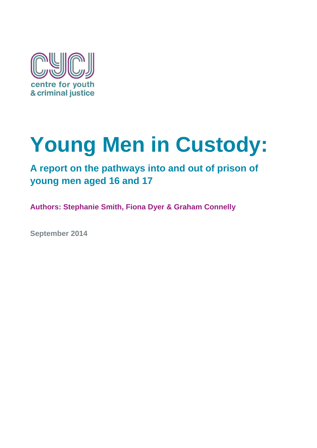

# **Young Men in Custody:**

## **A report on the pathways into and out of prison of young men aged 16 and 17**

**Authors: Stephanie Smith, Fiona Dyer & Graham Connelly**

**September 2014**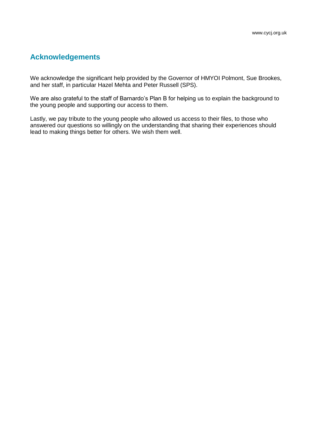## **Acknowledgements**

We acknowledge the significant help provided by the Governor of HMYOI Polmont, Sue Brookes, and her staff, in particular Hazel Mehta and Peter Russell (SPS).

We are also grateful to the staff of Barnardo's Plan B for helping us to explain the background to the young people and supporting our access to them.

Lastly, we pay tribute to the young people who allowed us access to their files, to those who answered our questions so willingly on the understanding that sharing their experiences should lead to making things better for others. We wish them well.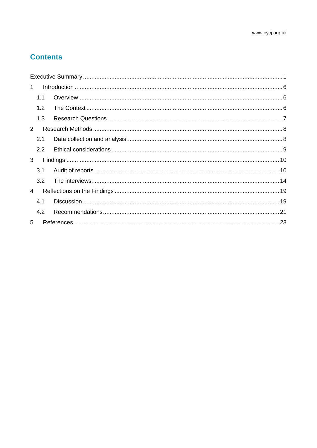## **Contents**

<span id="page-2-0"></span>

| $\mathbf 1$   |     |  |  |  |
|---------------|-----|--|--|--|
|               | 1.1 |  |  |  |
|               | 1.2 |  |  |  |
|               | 1.3 |  |  |  |
| $\mathcal{P}$ |     |  |  |  |
|               | 2.1 |  |  |  |
|               | 2.2 |  |  |  |
| 3             |     |  |  |  |
|               | 3.1 |  |  |  |
|               | 3.2 |  |  |  |
| 4             |     |  |  |  |
|               | 4.1 |  |  |  |
|               | 4.2 |  |  |  |
| 5             |     |  |  |  |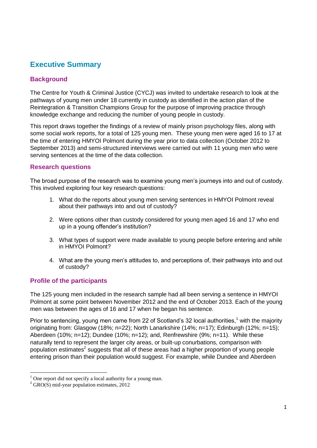## **Executive Summary**

#### **Background**

The Centre for Youth & Criminal Justice (CYCJ) was invited to undertake research to look at the pathways of young men under 18 currently in custody as identified in the action plan of the Reintegration & Transition Champions Group for the purpose of improving practice through knowledge exchange and reducing the number of young people in custody.

This report draws together the findings of a review of mainly prison psychology files, along with some social work reports, for a total of 125 young men. These young men were aged 16 to 17 at the time of entering HMYOI Polmont during the year prior to data collection (October 2012 to September 2013) and semi-structured interviews were carried out with 11 young men who were serving sentences at the time of the data collection.

#### **Research questions**

The broad purpose of the research was to examine young men's journeys into and out of custody. This involved exploring four key research questions:

- 1. What do the reports about young men serving sentences in HMYOI Polmont reveal about their pathways into and out of custody?
- 2. Were options other than custody considered for young men aged 16 and 17 who end up in a young offender's institution?
- 3. What types of support were made available to young people before entering and while in HMYOI Polmont?
- 4. What are the young men's attitudes to, and perceptions of, their pathways into and out of custody?

#### **Profile of the participants**

The 125 young men included in the research sample had all been serving a sentence in HMYOI Polmont at some point between November 2012 and the end of October 2013. Each of the young men was between the ages of 16 and 17 when he began his sentence.

Prior to sentencing, young men came from 22 of Scotland's 32 local authorities,<sup>1</sup> with the majority originating from: Glasgow (18%; n=22); North Lanarkshire (14%; n=17); Edinburgh (12%; n=15); Aberdeen (10%; n=12); Dundee (10%; n=12); and, Renfrewshire (9%; n=11). While these naturally tend to represent the larger city areas, or built-up conurbations, comparison with population estimates<sup>2</sup> suggests that all of these areas had a higher proportion of young people entering prison than their population would suggest. For example, while Dundee and Aberdeen

 $\overline{\phantom{a}}$ 

 $1$  One report did not specify a local authority for a young man.

 $2^2$  GRO(S) mid-year population estimates, 2012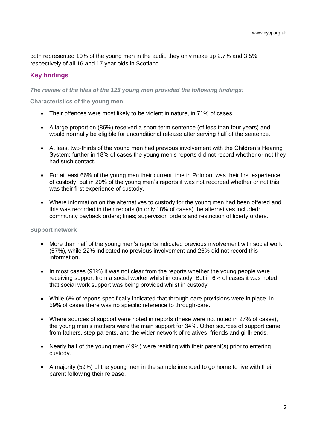both represented 10% of the young men in the audit, they only make up 2.7% and 3.5% respectively of all 16 and 17 year olds in Scotland.

#### **Key findings**

*The review of the files of the 125 young men provided the following findings:*

**Characteristics of the young men**

- Their offences were most likely to be violent in nature, in 71% of cases.
- A large proportion (86%) received a short-term sentence (of less than four years) and would normally be eligible for unconditional release after serving half of the sentence.
- At least two-thirds of the young men had previous involvement with the Children's Hearing System; further in 18% of cases the young men's reports did not record whether or not they had such contact.
- For at least 66% of the young men their current time in Polmont was their first experience of custody, but in 20% of the young men's reports it was not recorded whether or not this was their first experience of custody.
- Where information on the alternatives to custody for the young men had been offered and this was recorded in their reports (in only 18% of cases) the alternatives included: community payback orders; fines; supervision orders and restriction of liberty orders.

#### **Support network**

- More than half of the young men's reports indicated previous involvement with social work (57%), while 22% indicated no previous involvement and 26% did not record this information.
- In most cases (91%) it was not clear from the reports whether the young people were receiving support from a social worker whilst in custody. But in 6% of cases it was noted that social work support was being provided whilst in custody.
- While 6% of reports specifically indicated that through-care provisions were in place, in 59% of cases there was no specific reference to through-care.
- Where sources of support were noted in reports (these were not noted in 27% of cases), the young men's mothers were the main support for 34%. Other sources of support came from fathers, step-parents, and the wider network of relatives, friends and girlfriends.
- Nearly half of the young men (49%) were residing with their parent(s) prior to entering custody.
- A majority (59%) of the young men in the sample intended to go home to live with their parent following their release.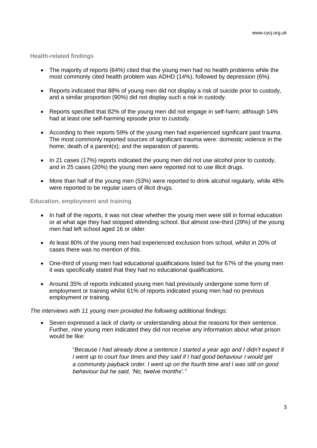#### **Health-related findings**

- The majority of reports (64%) cited that the young men had no health problems while the most commonly cited health problem was ADHD (14%), followed by depression (6%).
- Reports indicated that 88% of young men did not display a risk of suicide prior to custody, and a similar proportion (90%) did not display such a risk in custody.
- Reports specified that 82% of the young men did not engage in self-harm; although 14% had at least one self-harming episode prior to custody.
- According to their reports 59% of the young men had experienced significant past trauma. The most commonly reported sources of significant trauma were: domestic violence in the home; death of a parent(s); and the separation of parents.
- In 21 cases (17%) reports indicated the young men did not use alcohol prior to custody, and in 25 cases (20%) the young men were reported not to use illicit drugs.
- More than half of the young men (53%) were reported to drink alcohol regularly, while 48% were reported to be regular users of illicit drugs.

#### **Education, employment and training**

- In half of the reports, it was not clear whether the young men were still in formal education or at what age they had stopped attending school. But almost one-third (29%) of the young men had left school aged 16 or older.
- At least 80% of the young men had experienced exclusion from school, whilst in 20% of cases there was no mention of this.
- One-third of young men had educational qualifications listed but for 67% of the young men it was specifically stated that they had no educational qualifications.
- Around 35% of reports indicated young men had previously undergone some form of employment or training whilst 61% of reports indicated young men had no previous employment or training.

#### *The interviews with 11 young men provided the following additional findings:*

 Seven expressed a lack of clarity or understanding about the reasons for their sentence. Further, nine young men indicated they did not receive any information about what prison would be like:

> "*Because I had already done a sentence I started a year ago and I didn't expect it I went up to court four times and they said if I had good behaviour I would get a community payback order. I went up on the fourth time and I was still on good behaviour but he said, 'No, twelve months'."*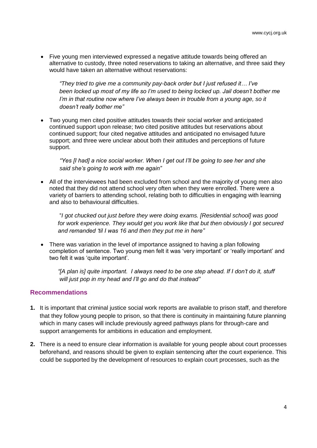Five young men interviewed expressed a negative attitude towards being offered an alternative to custody, three noted reservations to taking an alternative, and three said they would have taken an alternative without reservations:

 *"They tried to give me a community pay-back order but I just refused it… I've been locked up most of my life so I'm used to being locked up. Jail doesn't bother me I'm in that routine now where I've always been in trouble from a young age, so it doesn't really bother me"*

 Two young men cited positive attitudes towards their social worker and anticipated continued support upon release; two cited positive attitudes but reservations about continued support; four cited negative attitudes and anticipated no envisaged future support; and three were unclear about both their attitudes and perceptions of future support.

 *"Yes [I had] a nice social worker. When I get out I'll be going to see her and she said she's going to work with me again"*

 All of the interviewees had been excluded from school and the majority of young men also noted that they did not attend school very often when they were enrolled. There were a variety of barriers to attending school, relating both to difficulties in engaging with learning and also to behavioural difficulties.

 "*I got chucked out just before they were doing exams. [Residential school] was good for work experience. They would get you work like that but then obviously I got secured and remanded 'til I was 16 and then they put me in here"*

 There was variation in the level of importance assigned to having a plan following completion of sentence. Two young men felt it was 'very important' or 'really important' and two felt it was 'quite important'.

 *"[A plan is] quite important. I always need to be one step ahead. If I don't do it, stuff will just pop in my head and I'll go and do that instead"*

#### **Recommendations**

- **1.** It is important that criminal justice social work reports are available to prison staff, and therefore that they follow young people to prison, so that there is continuity in maintaining future planning which in many cases will include previously agreed pathways plans for through-care and support arrangements for ambitions in education and employment.
- **2.** There is a need to ensure clear information is available for young people about court processes beforehand, and reasons should be given to explain sentencing after the court experience. This could be supported by the development of resources to explain court processes, such as the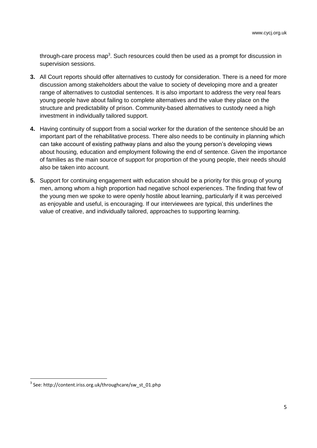through-care process map<sup>3</sup>. Such resources could then be used as a prompt for discussion in supervision sessions.

- **3.** All Court reports should offer alternatives to custody for consideration. There is a need for more discussion among stakeholders about the value to society of developing more and a greater range of alternatives to custodial sentences. It is also important to address the very real fears young people have about failing to complete alternatives and the value they place on the structure and predictability of prison. Community-based alternatives to custody need a high investment in individually tailored support.
- **4.** Having continuity of support from a social worker for the duration of the sentence should be an important part of the rehabilitative process. There also needs to be continuity in planning which can take account of existing pathway plans and also the young person's developing views about housing, education and employment following the end of sentence. Given the importance of families as the main source of support for proportion of the young people, their needs should also be taken into account.
- **5.** Support for continuing engagement with education should be a priority for this group of young men, among whom a high proportion had negative school experiences. The finding that few of the young men we spoke to were openly hostile about learning, particularly if it was perceived as enjoyable and useful, is encouraging. If our interviewees are typical, this underlines the value of creative, and individually tailored, approaches to supporting learning.

 $\overline{a}$ 

<sup>3</sup> See: http://content.iriss.org.uk/throughcare/sw\_st\_01.php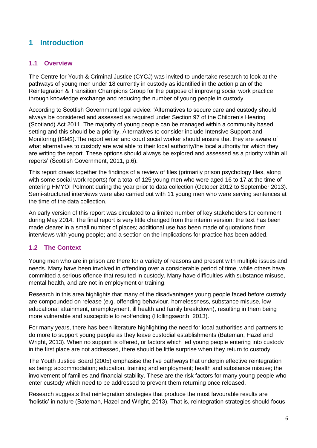## <span id="page-8-0"></span>**1 Introduction**

#### <span id="page-8-1"></span>**1.1 Overview**

The Centre for Youth & Criminal Justice (CYCJ) was invited to undertake research to look at the pathways of young men under 18 currently in custody as identified in the action plan of the Reintegration & Transition Champions Group for the purpose of improving social work practice through knowledge exchange and reducing the number of young people in custody.

According to Scottish Government legal advice: 'Alternatives to secure care and custody should always be considered and assessed as required under Section 97 of the Children's Hearing (Scotland) Act 2011. The majority of young people can be managed within a community based setting and this should be a priority. Alternatives to consider include Intensive Support and Monitoring (ISMS).The report writer and court social worker should ensure that they are aware of what alternatives to custody are available to their local authority/the local authority for which they are writing the report. These options should always be explored and assessed as a priority within all reports' (Scottish Government, 2011, p.6).

This report draws together the findings of a review of files (primarily prison psychology files, along with some social work reports) for a total of 125 young men who were aged 16 to 17 at the time of entering HMYOI Polmont during the year prior to data collection (October 2012 to September 2013). Semi-structured interviews were also carried out with 11 young men who were serving sentences at the time of the data collection.

An early version of this report was circulated to a limited number of key stakeholders for comment during May 2014. The final report is very little changed from the interim version: the text has been made clearer in a small number of places; additional use has been made of quotations from interviews with young people; and a section on the implications for practice has been added.

#### <span id="page-8-2"></span>**1.2 The Context**

Young men who are in prison are there for a variety of reasons and present with multiple issues and needs. Many have been involved in offending over a considerable period of time, while others have committed a serious offence that resulted in custody. Many have difficulties with substance misuse, mental health, and are not in employment or training.

Research in this area highlights that many of the disadvantages young people faced before custody are compounded on release (e.g. offending behaviour, homelessness, substance misuse, low educational attainment, unemployment, ill health and family breakdown), resulting in them being more vulnerable and susceptible to reoffending (Hollingsworth, 2013).

For many years, there has been literature highlighting the need for local authorities and partners to do more to support young people as they leave custodial establishments (Bateman, Hazel and Wright, 2013). When no support is offered, or factors which led young people entering into custody in the first place are not addressed, there should be little surprise when they return to custody.

The Youth Justice Board (2005) emphasise the five pathways that underpin effective reintegration as being: accommodation; education, training and employment; health and substance misuse; the involvement of families and financial stability. These are the risk factors for many young people who enter custody which need to be addressed to prevent them returning once released.

Research suggests that reintegration strategies that produce the most favourable results are 'holistic' in nature (Bateman, Hazel and Wright, 2013). That is, reintegration strategies should focus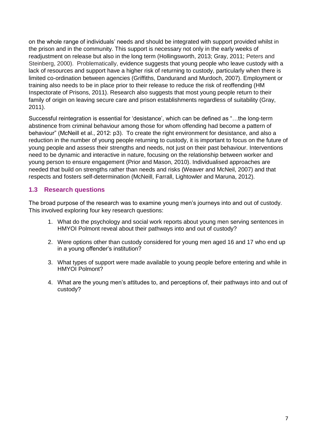on the whole range of individuals' needs and should be integrated with support provided whilst in the prison and in the community. This support is necessary not only in the early weeks of readjustment on release but also in the long term (Hollingsworth, 2013; Gray, 2011; Peters and Steinberg, 2000). Problematically, evidence suggests that young people who leave custody with a lack of resources and support have a higher risk of returning to custody, particularly when there is limited co-ordination between agencies (Griffiths, Dandurand and Murdoch, 2007). Employment or training also needs to be in place prior to their release to reduce the risk of reoffending (HM Inspectorate of Prisons, 2011). Research also suggests that most young people return to their family of origin on leaving secure care and prison establishments regardless of suitability (Gray, 2011).

Successful reintegration is essential for 'desistance', which can be defined as "…the long-term abstinence from criminal behaviour among those for whom offending had become a pattern of behaviour" (McNeill et al., 2012: p3). To create the right environment for desistance, and also a reduction in the number of young people returning to custody, it is important to focus on the future of young people and assess their strengths and needs, not just on their past behaviour. Interventions need to be dynamic and interactive in nature, focusing on the relationship between worker and young person to ensure engagement (Prior and Mason, 2010). Individualised approaches are needed that build on strengths rather than needs and risks (Weaver and McNeil, 2007) and that respects and fosters self-determination (McNeill, Farrall, Lightowler and Maruna, 2012).

#### <span id="page-9-0"></span>**1.3 Research questions**

The broad purpose of the research was to examine young men's journeys into and out of custody. This involved exploring four key research questions:

- 1. What do the psychology and social work reports about young men serving sentences in HMYOI Polmont reveal about their pathways into and out of custody?
- 2. Were options other than custody considered for young men aged 16 and 17 who end up in a young offender's institution?
- 3. What types of support were made available to young people before entering and while in HMYOI Polmont?
- 4. What are the young men's attitudes to, and perceptions of, their pathways into and out of custody?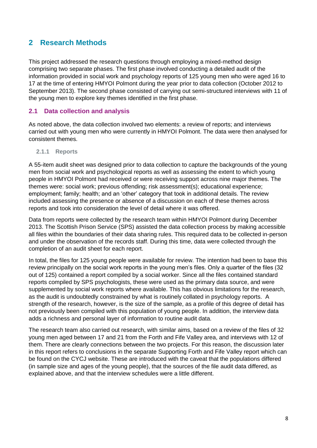## <span id="page-10-0"></span>**2 Research Methods**

This project addressed the research questions through employing a mixed-method design comprising two separate phases. The first phase involved conducting a detailed audit of the information provided in social work and psychology reports of 125 young men who were aged 16 to 17 at the time of entering HMYOI Polmont during the year prior to data collection (October 2012 to September 2013). The second phase consisted of carrying out semi-structured interviews with 11 of the young men to explore key themes identified in the first phase.

#### <span id="page-10-1"></span>**2.1 Data collection and analysis**

As noted above, the data collection involved two elements: a review of reports; and interviews carried out with young men who were currently in HMYOI Polmont. The data were then analysed for consistent themes.

#### **2.1.1 Reports**

A 55-item audit sheet was designed prior to data collection to capture the backgrounds of the young men from social work and psychological reports as well as assessing the extent to which young people in HMYOI Polmont had received or were receiving support across nine major themes. The themes were: social work; previous offending; risk assessment(s); educational experience; employment; family; health; and an 'other' category that took in additional details. The review included assessing the presence or absence of a discussion on each of these themes across reports and took into consideration the level of detail where it was offered.

Data from reports were collected by the research team within HMYOI Polmont during December 2013. The Scottish Prison Service (SPS) assisted the data collection process by making accessible all files within the boundaries of their data sharing rules. This required data to be collected in-person and under the observation of the records staff. During this time, data were collected through the completion of an audit sheet for each report.

In total, the files for 125 young people were available for review. The intention had been to base this review principally on the social work reports in the young men's files. Only a quarter of the files (32 out of 125) contained a report compiled by a social worker. Since all the files contained standard reports compiled by SPS psychologists, these were used as the primary data source, and were supplemented by social work reports where available. This has obvious limitations for the research, as the audit is undoubtedly constrained by what is routinely collated in psychology reports. A strength of the research, however, is the size of the sample, as a profile of this degree of detail has not previously been compiled with this population of young people. In addition, the interview data adds a richness and personal layer of information to routine audit data.

The research team also carried out research, with similar aims, based on a review of the files of 32 young men aged between 17 and 21 from the Forth and Fife Valley area, and interviews with 12 of them. There are clearly connections between the two projects. For this reason, the discussion later in this report refers to conclusions in the separate Supporting Forth and Fife Valley report which can be found on the CYCJ website. These are introduced with the caveat that the populations differed (in sample size and ages of the young people), that the sources of the file audit data differed, as explained above, and that the interview schedules were a little different.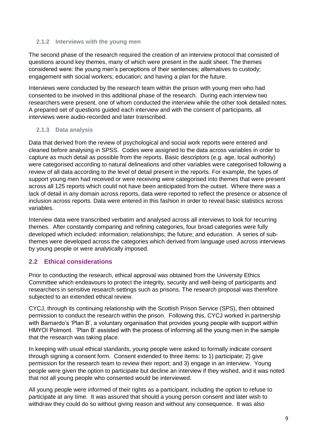#### **2.1.2 Interviews with the young men**

The second phase of the research required the creation of an interview protocol that consisted of questions around key themes, many of which were present in the audit sheet. The themes considered were: the young men's perceptions of their sentences; alternatives to custody; engagement with social workers; education; and having a plan for the future.

Interviews were conducted by the research team within the prison with young men who had consented to be involved in this additional phase of the research. During each interview two researchers were present, one of whom conducted the interview while the other took detailed notes. A prepared set of questions guided each interview and with the consent of participants, all interviews were audio-recorded and later transcribed.

#### **2.1.3 Data analysis**

Data that derived from the review of psychological and social work reports were entered and cleaned before analysing in SPSS. Codes were assigned to the data across variables in order to capture as much detail as possible from the reports. Basic descriptors (e.g. age, local authority) were categorised according to natural delineations and other variables were categorised following a review of all data according to the level of detail present in the reports. For example, the types of support young men had received or were receiving were categorised into themes that were present across all 125 reports which could not have been anticipated from the outset. Where there was a lack of detail in any domain across reports, data were reported to reflect the presence or absence of inclusion across reports. Data were entered in this fashion in order to reveal basic statistics across variables.

Interview data were transcribed verbatim and analysed across all interviews to look for recurring themes. After constantly comparing and refining categories, four broad categories were fully developed which included: information; relationships; the future; and education. A series of subthemes were developed across the categories which derived from language used across interviews by young people or were analytically imposed.

#### <span id="page-11-0"></span>**2.2 Ethical considerations**

Prior to conducting the research, ethical approval was obtained from the University Ethics Committee which endeavours to protect the integrity, security and well-being of participants and researchers in sensitive research settings such as prisons. The research proposal was therefore subjected to an extended ethical review.

CYCJ, through its continuing relationship with the Scottish Prison Service (SPS), then obtained permission to conduct the research within the prison. Following this, CYCJ worked in partnership with Barnardo's 'Plan B', a voluntary organisation that provides young people with support within HMYOI Polmont. 'Plan B' assisted with the process of informing all the young men in the sample that the research was taking place.

In keeping with usual ethical standards, young people were asked to formally indicate consent through signing a consent form. Consent extended to three items: to 1) participate; 2) give permission for the research team to review their report; and 3) engage in an interview. Young people were given the option to participate but decline an interview if they wished, and it was noted that not all young people who consented would be interviewed.

All young people were informed of their rights as a participant, including the option to refuse to participate at any time. It was assured that should a young person consent and later wish to withdraw they could do so without giving reason and without any consequence. It was also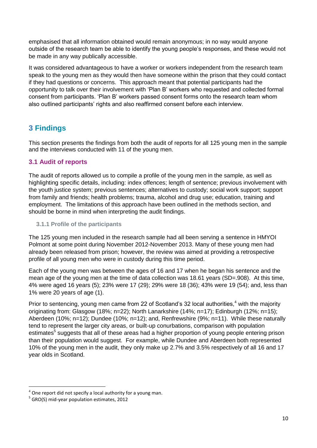emphasised that all information obtained would remain anonymous; in no way would anyone outside of the research team be able to identify the young people's responses, and these would not be made in any way publically accessible.

It was considered advantageous to have a worker or workers independent from the research team speak to the young men as they would then have someone within the prison that they could contact if they had questions or concerns. This approach meant that potential participants had the opportunity to talk over their involvement with 'Plan B' workers who requested and collected formal consent from participants. 'Plan B' workers passed consent forms onto the research team whom also outlined participants' rights and also reaffirmed consent before each interview.

## <span id="page-12-0"></span>**3 Findings**

This section presents the findings from both the audit of reports for all 125 young men in the sample and the interviews conducted with 11 of the young men.

#### <span id="page-12-1"></span>**3.1 Audit of reports**

The audit of reports allowed us to compile a profile of the young men in the sample, as well as highlighting specific details, including: index offences; length of sentence; previous involvement with the youth justice system; previous sentences; alternatives to custody; social work support; support from family and friends; health problems; trauma, alcohol and drug use; education, training and employment. The limitations of this approach have been outlined in the methods section, and should be borne in mind when interpreting the audit findings.

#### **3.1.1 Profile of the participants**

The 125 young men included in the research sample had all been serving a sentence in HMYOI Polmont at some point during November 2012-November 2013. Many of these young men had already been released from prison; however, the review was aimed at providing a retrospective profile of all young men who were in custody during this time period.

Each of the young men was between the ages of 16 and 17 when he began his sentence and the mean age of the young men at the time of data collection was 18.61 years (SD=.908). At this time, 4% were aged 16 years (5); 23% were 17 (29); 29% were 18 (36); 43% were 19 (54); and, less than 1% were 20 years of age (1).

Prior to sentencing, young men came from 22 of Scotland's 32 local authorities, $4$  with the majority originating from: Glasgow (18%; n=22); North Lanarkshire (14%; n=17); Edinburgh (12%; n=15); Aberdeen (10%; n=12); Dundee (10%; n=12); and, Renfrewshire (9%; n=11). While these naturally tend to represent the larger city areas, or built-up conurbations, comparison with population estimates<sup>5</sup> suggests that all of these areas had a higher proportion of young people entering prison than their population would suggest. For example, while Dundee and Aberdeen both represented 10% of the young men in the audit, they only make up 2.7% and 3.5% respectively of all 16 and 17 year olds in Scotland.

 $\overline{\phantom{a}}$ 

 $4$  One report did not specify a local authority for a young man.

<sup>&</sup>lt;sup>5</sup> GRO(S) mid-year population estimates, 2012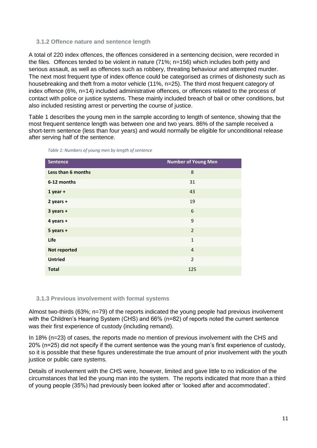#### **3.1.2 Offence nature and sentence length**

A total of 220 index offences, the offences considered in a sentencing decision, were recorded in the files. Offences tended to be violent in nature (71%; n=156) which includes both petty and serious assault, as well as offences such as robbery, threating behaviour and attempted murder. The next most frequent type of index offence could be categorised as crimes of dishonesty such as housebreaking and theft from a motor vehicle (11%, n=25). The third most frequent category of index offence (6%, n=14) included administrative offences, or offences related to the process of contact with police or justice systems. These mainly included breach of bail or other conditions, but also included resisting arrest or perverting the course of justice.

Table 1 describes the young men in the sample according to length of sentence, showing that the most frequent sentence length was between one and two years. 86% of the sample received a short-term sentence (less than four years) and would normally be eligible for unconditional release after serving half of the sentence.

| <b>Sentence</b>    | <b>Number of Young Men</b> |
|--------------------|----------------------------|
| Less than 6 months | 8                          |
| 6-12 months        | 31                         |
| $1$ year +         | 43                         |
| $2$ years +        | 19                         |
| $3$ years +        | 6                          |
| 4 years +          | 9                          |
| $5$ years +        | $\overline{2}$             |
| Life               | $\mathbf{1}$               |
| Not reported       | $\overline{4}$             |
| <b>Untried</b>     | $\overline{2}$             |
| <b>Total</b>       | 125                        |

*Table 1: Numbers of young men by length of sentence*

#### **3.1.3 Previous involvement with formal systems**

Almost two-thirds (63%; n=79) of the reports indicated the young people had previous involvement with the Children's Hearing System (CHS) and 66% (n=82) of reports noted the current sentence was their first experience of custody (including remand).

In 18% (n=23) of cases, the reports made no mention of previous involvement with the CHS and 20% (n=25) did not specify if the current sentence was the young man's first experience of custody, so it is possible that these figures underestimate the true amount of prior involvement with the youth justice or public care systems.

Details of involvement with the CHS were, however, limited and gave little to no indication of the circumstances that led the young man into the system. The reports indicated that more than a third of young people (35%) had previously been looked after or 'looked after and accommodated'.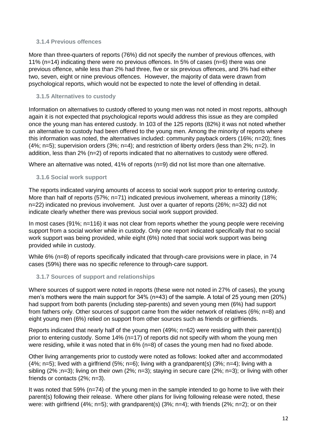#### **3.1.4 Previous offences**

More than three-quarters of reports (76%) did not specify the number of previous offences, with 11% (n=14) indicating there were no previous offences. In 5% of cases (n=6) there was one previous offence, while less than 2% had three, five or six previous offences, and 3% had either two, seven, eight or nine previous offences. However, the majority of data were drawn from psychological reports, which would not be expected to note the level of offending in detail.

#### **3.1.5 Alternatives to custody**

Information on alternatives to custody offered to young men was not noted in most reports, although again it is not expected that psychological reports would address this issue as they are compiled once the young man has entered custody. In 103 of the 125 reports (82%) it was not noted whether an alternative to custody had been offered to the young men. Among the minority of reports where this information was noted, the alternatives included: community payback orders (16%; n=20); fines (4%; n=5); supervision orders (3%; n=4); and restriction of liberty orders (less than 2%; n=2). In addition, less than 2% (n=2) of reports indicated that no alternatives to custody were offered.

Where an alternative was noted, 41% of reports (n=9) did not list more than one alternative.

#### **3.1.6 Social work support**

The reports indicated varying amounts of access to social work support prior to entering custody. More than half of reports (57%; n=71) indicated previous involvement, whereas a minority (18%; n=22) indicated no previous involvement. Just over a quarter of reports (26%; n=32) did not indicate clearly whether there was previous social work support provided.

In most cases (91%; n=116) it was not clear from reports whether the young people were receiving support from a social worker while in custody. Only one report indicated specifically that no social work support was being provided, while eight (6%) noted that social work support was being provided while in custody.

While 6% (n=8) of reports specifically indicated that through-care provisions were in place, in 74 cases (59%) there was no specific reference to through-care support.

#### **3.1.7 Sources of support and relationships**

Where sources of support were noted in reports (these were not noted in 27% of cases), the young men's mothers were the main support for 34% (n=43) of the sample. A total of 25 young men (20%) had support from both parents (including step-parents) and seven young men (6%) had support from fathers only. Other sources of support came from the wider network of relatives (6%; n=8) and eight young men (6%) relied on support from other sources such as friends or girlfriends.

Reports indicated that nearly half of the young men (49%; n=62) were residing with their parent(s) prior to entering custody. Some 14% (n=17) of reports did not specify with whom the young men were residing, while it was noted that in 6% (n=8) of cases the young men had no fixed abode.

Other living arrangements prior to custody were noted as follows: looked after and accommodated  $(4\%; n=5)$ ; lived with a girlfriend  $(5\%; n=6)$ ; living with a grandparent(s)  $(3\%; n=4)$ ; living with a sibling (2% ;n=3); living on their own (2%; n=3); staying in secure care (2%; n=3); or living with other friends or contacts (2%; n=3).

It was noted that 59% (n=74) of the young men in the sample intended to go home to live with their parent(s) following their release. Where other plans for living following release were noted, these were: with girlfriend (4%; n=5); with grandparent(s) (3%; n=4); with friends (2%; n=2); or on their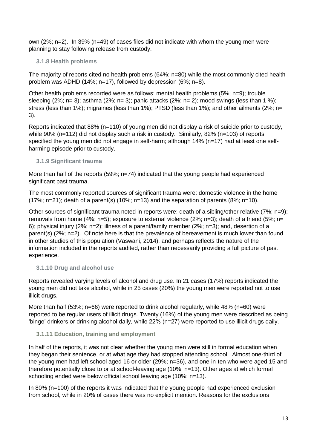own (2%; n=2). In 39% (n=49) of cases files did not indicate with whom the young men were planning to stay following release from custody.

#### **3.1.8 Health problems**

The majority of reports cited no health problems (64%; n=80) while the most commonly cited health problem was ADHD (14%; n=17), followed by depression (6%; n=8).

Other health problems recorded were as follows: mental health problems (5%; n=9); trouble sleeping (2%; n= 3); asthma (2%; n= 3); panic attacks (2%; n= 2); mood swings (less than 1 %); stress (less than 1%); migraines (less than 1%); PTSD (less than 1%); and other ailments (2%; n= 3).

Reports indicated that 88% (n=110) of young men did not display a risk of suicide prior to custody, while 90% (n=112) did not display such a risk in custody. Similarly, 82% (n=103) of reports specified the young men did not engage in self-harm; although 14% (n=17) had at least one selfharming episode prior to custody.

#### **3.1.9 Significant trauma**

More than half of the reports (59%; n=74) indicated that the young people had experienced significant past trauma.

The most commonly reported sources of significant trauma were: domestic violence in the home (17%; n=21); death of a parent(s) (10%; n=13) and the separation of parents (8%; n=10).

Other sources of significant trauma noted in reports were: death of a sibling/other relative (7%; n=9); removals from home (4%; n=5); exposure to external violence (2%; n=3); death of a friend (5%; n= 6); physical injury (2%; n=2); illness of a parent/family member (2%; n=3); and, desertion of a parent(s) (2%; n=2). Of note here is that the prevalence of bereavement is much lower than found in other studies of this population (Vaswani, 2014), and perhaps reflects the nature of the information included in the reports audited, rather than necessarily providing a full picture of past experience.

#### **3.1.10 Drug and alcohol use**

Reports revealed varying levels of alcohol and drug use. In 21 cases (17%) reports indicated the young men did not take alcohol, while in 25 cases (20%) the young men were reported not to use illicit drugs.

More than half (53%; n=66) were reported to drink alcohol regularly, while 48% (n=60) were reported to be regular users of illicit drugs. Twenty (16%) of the young men were described as being 'binge' drinkers or drinking alcohol daily, while 22% (n=27) were reported to use illicit drugs daily.

#### **3.1.11 Education, training and employment**

In half of the reports, it was not clear whether the young men were still in formal education when they began their sentence, or at what age they had stopped attending school. Almost one-third of the young men had left school aged 16 or older (29%; n=36), and one-in-ten who were aged 15 and therefore potentially close to or at school-leaving age (10%; n=13). Other ages at which formal schooling ended were below official school leaving age (10%; n=13).

In 80% (n=100) of the reports it was indicated that the young people had experienced exclusion from school, while in 20% of cases there was no explicit mention. Reasons for the exclusions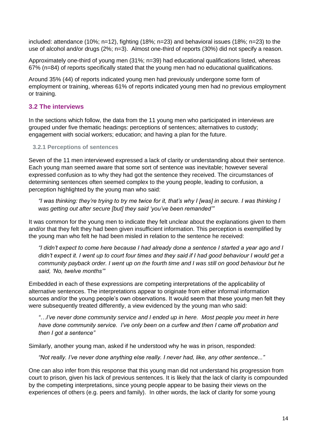included: attendance (10%; n=12), fighting (18%; n=23) and behavioral issues (18%; n=23) to the use of alcohol and/or drugs (2%; n=3). Almost one-third of reports (30%) did not specify a reason.

Approximately one-third of young men (31%; n=39) had educational qualifications listed, whereas 67% (n=84) of reports specifically stated that the young men had no educational qualifications.

Around 35% (44) of reports indicated young men had previously undergone some form of employment or training, whereas 61% of reports indicated young men had no previous employment or training.

#### <span id="page-16-0"></span>**3.2 The interviews**

In the sections which follow, the data from the 11 young men who participated in interviews are grouped under five thematic headings: perceptions of sentences; alternatives to custody; engagement with social workers; education; and having a plan for the future.

#### **3.2.1 Perceptions of sentences**

Seven of the 11 men interviewed expressed a lack of clarity or understanding about their sentence. Each young man seemed aware that some sort of sentence was inevitable; however several expressed confusion as to why they had got the sentence they received. The circumstances of determining sentences often seemed complex to the young people, leading to confusion, a perception highlighted by the young man who said:

*"I was thinking: they're trying to try me twice for it, that's why I [was] in secure. I was thinking I was getting out after secure [but] they said 'you've been remanded'"*

It was common for the young men to indicate they felt unclear about the explanations given to them and/or that they felt they had been given insufficient information. This perception is exemplified by the young man who felt he had been misled in relation to the sentence he received:

*"I didn't expect to come here because I had already done a sentence I started a year ago and I didn't expect it. I went up to court four times and they said if I had good behaviour I would get a community payback order. I went up on the fourth time and I was still on good behaviour but he said, 'No, twelve months'"*

Embedded in each of these expressions are competing interpretations of the applicability of alternative sentences. The interpretations appear to originate from either informal information sources and/or the young people's own observations. It would seem that these young men felt they were subsequently treated differently, a view evidenced by the young man who said:

*"…I've never done community service and I ended up in here. Most people you meet in here have done community service. I've only been on a curfew and then I came off probation and then I got a sentence"*

Similarly, another young man, asked if he understood why he was in prison, responded:

*"Not really. I've never done anything else really. I never had, like, any other sentence..."*

One can also infer from this response that this young man did not understand his progression from court to prison, given his lack of previous sentences. It is likely that the lack of clarity is compounded by the competing interpretations, since young people appear to be basing their views on the experiences of others (e.g. peers and family). In other words, the lack of clarity for some young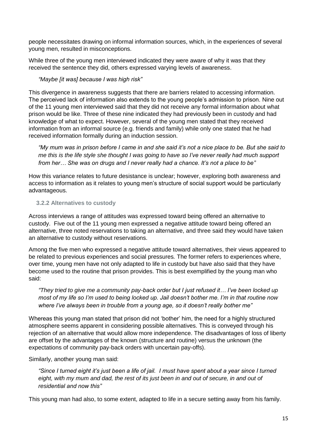people necessitates drawing on informal information sources, which, in the experiences of several young men, resulted in misconceptions.

While three of the young men interviewed indicated they were aware of why it was that they received the sentence they did, others expressed varying levels of awareness.

#### *"Maybe [it was] because I was high risk"*

This divergence in awareness suggests that there are barriers related to accessing information. The perceived lack of information also extends to the young people's admission to prison. Nine out of the 11 young men interviewed said that they did not receive any formal information about what prison would be like. Three of these nine indicated they had previously been in custody and had knowledge of what to expect. However, several of the young men stated that they received information from an informal source (e.g. friends and family) while only one stated that he had received information formally during an induction session.

*"My mum was in prison before I came in and she said it's not a nice place to be. But she said to me this is the life style she thought I was going to have so I've never really had much support from her… She was on drugs and I never really had a chance. It's not a place to be"*

How this variance relates to future desistance is unclear; however, exploring both awareness and access to information as it relates to young men's structure of social support would be particularly advantageous.

#### **3.2.2 Alternatives to custody**

Across interviews a range of attitudes was expressed toward being offered an alternative to custody. Five out of the 11 young men expressed a negative attitude toward being offered an alternative, three noted reservations to taking an alternative, and three said they would have taken an alternative to custody without reservations.

Among the five men who expressed a negative attitude toward alternatives, their views appeared to be related to previous experiences and social pressures*.* The former refers to experiences where, over time, young men have not only adapted to life in custody but have also said that they have become used to the routine that prison provides. This is best exemplified by the young man who said:

*"They tried to give me a community pay-back order but I just refused it… I've been locked up most of my life so I'm used to being locked up. Jail doesn't bother me. I'm in that routine now where I've always been in trouble from a young age, so it doesn't really bother me"*

Whereas this young man stated that prison did not 'bother' him, the need for a highly structured atmosphere seems apparent in considering possible alternatives. This is conveyed through his rejection of an alternative that would allow more independence. The disadvantages of loss of liberty are offset by the advantages of the known (structure and routine) versus the unknown (the expectations of community pay-back orders with uncertain pay-offs).

Similarly, another young man said:

*"Since I turned eight it's just been a life of jail. I must have spent about a year since I turned*  eight, with my mum and dad, the rest of its just been in and out of secure, in and out of *residential and now this"*

This young man had also, to some extent, adapted to life in a secure setting away from his family.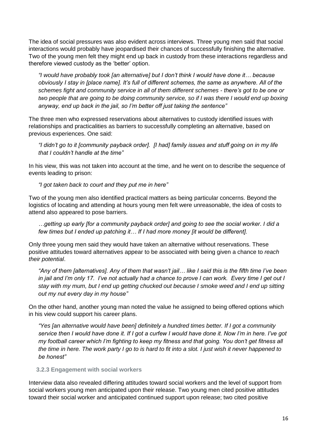The idea of social pressures was also evident across interviews. Three young men said that social interactions would probably have jeopardised their chances of successfully finishing the alternative. Two of the young men felt they might end up back in custody from these interactions regardless and therefore viewed custody as the 'better' option.

*"I would have probably took [an alternative] but I don't think I would have done it… because obviously I stay in [place name]. It's full of different schemes, the same as anywhere. All of the schemes fight and community service in all of them different schemes - there's got to be one or two people that are going to be doing community service, so if I was there I would end up boxing anyway, end up back in the jail, so I'm better off just taking the sentence"*

The three men who expressed reservations about alternatives to custody identified issues with relationships and practicalities as barriers to successfully completing an alternative, based on previous experiences. One said:

*"I didn't go to it [community payback order]. [I had] family issues and stuff going on in my life that I couldn't handle at the time"*

In his view, this was not taken into account at the time, and he went on to describe the sequence of events leading to prison:

*"I got taken back to court and they put me in here"*

Two of the young men also identified practical matters as being particular concerns. Beyond the logistics of locating and attending at hours young men felt were unreasonable, the idea of costs to attend also appeared to pose barriers.

*…getting up early [for a community payback order] and going to see the social worker. I did a few times but I ended up patching it… If I had more money [it would be different].*

Only three young men said they would have taken an alternative without reservations. These positive attitudes toward alternatives appear to be associated with being given a chance to *reach their potential*.

*"Any of them [alternatives]. Any of them that wasn't jail… like I said this is the fifth time I've been in jail and I'm only 17. I've not actually had a chance to prove I can work. Every time I get out I stay with my mum, but I end up getting chucked out because I smoke weed and I end up sitting out my nut every day in my house"*

On the other hand, another young man noted the value he assigned to being offered options which in his view could support his career plans.

*"Yes [an alternative would have been] definitely a hundred times better. If I got a community service then I would have done it. If I got a curfew I would have done it. Now I'm in here. I've got my football career which I'm fighting to keep my fitness and that going. You don't get fitness all the time in here. The work party I go to is hard to fit into a slot. I just wish it never happened to be honest"*

#### **3.2.3 Engagement with social workers**

Interview data also revealed differing attitudes toward social workers and the level of support from social workers young men anticipated upon their release. Two young men cited positive attitudes toward their social worker and anticipated continued support upon release; two cited positive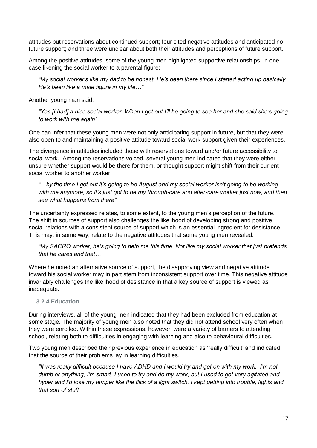attitudes but reservations about continued support; four cited negative attitudes and anticipated no future support; and three were unclear about both their attitudes and perceptions of future support.

Among the positive attitudes, some of the young men highlighted supportive relationships, in one case likening the social worker to a parental figure:

*"My social worker's like my dad to be honest. He's been there since I started acting up basically. He's been like a male figure in my life…"*

Another young man said:

*"Yes [I had] a nice social worker. When I get out I'll be going to see her and she said she's going to work with me again"*

One can infer that these young men were not only anticipating support in future, but that they were also open to and maintaining a positive attitude toward social work support given their experiences.

The divergence in attitudes included those with reservations toward and/or future accessibility to social work. Among the reservations voiced, several young men indicated that they were either unsure whether support would be there for them, or thought support might shift from their current social worker to another worker.

*"…by the time I get out it's going to be August and my social worker isn't going to be working with me anymore, so it's just got to be my through-care and after-care worker just now, and then see what happens from there"*

The uncertainty expressed relates, to some extent, to the young men's perception of the future. The shift in sources of support also challenges the likelihood of developing strong and positive social relations with a consistent source of support which is an essential ingredient for desistance. This may, in some way, relate to the negative attitudes that some young men revealed.

*"My SACRO worker, he's going to help me this time. Not like my social worker that just pretends that he cares and that…"*

Where he noted an alternative source of support, the disapproving view and negative attitude toward his social worker may in part stem from inconsistent support over time. This negative attitude invariably challenges the likelihood of desistance in that a key source of support is viewed as inadequate.

#### **3.2.4 Education**

During interviews, all of the young men indicated that they had been excluded from education at some stage. The majority of young men also noted that they did not attend school very often when they were enrolled. Within these expressions, however, were a variety of barriers to attending school, relating both to difficulties in engaging with learning and also to behavioural difficulties*.* 

Two young men described their previous experience in education as 'really difficult' and indicated that the source of their problems lay in learning difficulties.

*"It was really difficult because I have ADHD and I would try and get on with my work. I'm not dumb or anything, I'm smart. I used to try and do my work, but I used to get very agitated and hyper and I'd lose my temper like the flick of a light switch. I kept getting into trouble, fights and that sort of stuff"*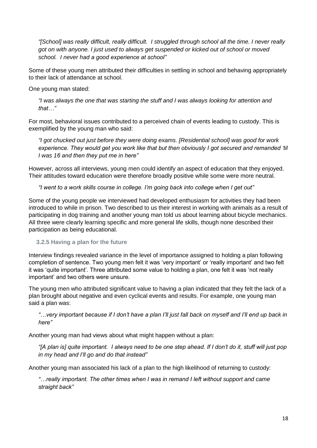*"[School] was really difficult, really difficult. I struggled through school all the time. I never really got on with anyone. I just used to always get suspended or kicked out of school or moved school. I never had a good experience at school"*

Some of these young men attributed their difficulties in settling in school and behaving appropriately to their lack of attendance at school.

One young man stated:

*"I was always the one that was starting the stuff and I was always looking for attention and that…"*

For most, behavioral issues contributed to a perceived chain of events leading to custody. This is exemplified by the young man who said:

*"I got chucked out just before they were doing exams. [Residential school] was good for work experience. They would get you work like that but then obviously I got secured and remanded 'til I was 16 and then they put me in here"*

However, across all interviews, young men could identify an aspect of education that they enjoyed. Their attitudes toward education were therefore broadly positive while some were more neutral.

*"I went to a work skills course in college. I'm going back into college when I get out"*

Some of the young people we interviewed had developed enthusiasm for activities they had been introduced to while in prison. Two described to us their interest in working with animals as a result of participating in dog training and another young man told us about learning about bicycle mechanics. All three were clearly learning specific and more general life skills, though none described their participation as being educational.

#### **3.2.5 Having a plan for the future**

Interview findings revealed variance in the level of importance assigned to holding a plan following completion of sentence. Two young men felt it was 'very important' or 'really important' and two felt it was 'quite important'. Three attributed some value to holding a plan, one felt it was 'not really important' and two others were unsure.

The young men who attributed significant value to having a plan indicated that they felt the lack of a plan brought about negative and even cyclical events and results. For example, one young man said a plan was:

*"…very important because if I don't have a plan I'll just fall back on myself and I'll end up back in here"*

Another young man had views about what might happen without a plan:

*"[A plan is] quite important. I always need to be one step ahead. If I don't do it, stuff will just pop in my head and I'll go and do that instead"*

Another young man associated his lack of a plan to the high likelihood of returning to custody:

*"…really important. The other times when I was in remand I left without support and came straight back"*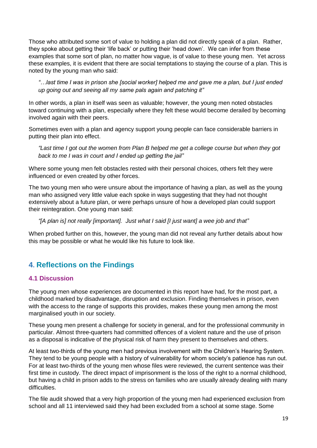Those who attributed some sort of value to holding a plan did not directly speak of a plan. Rather, they spoke about getting their 'life back' or putting their 'head down'. We can infer from these examples that some sort of plan, no matter how vague, is of value to these young men. Yet across these examples, it is evident that there are social temptations to staying the course of a plan. This is noted by the young man who said:

*"…last time I was in prison she [social worker] helped me and gave me a plan, but I just ended up going out and seeing all my same pals again and patching it"*

In other words, a plan in itself was seen as valuable; however, the young men noted obstacles toward continuing with a plan, especially where they felt these would become derailed by becoming involved again with their peers.

Sometimes even with a plan and agency support young people can face considerable barriers in putting their plan into effect.

*"Last time I got out the women from Plan B helped me get a college course but when they got back to me I was in court and I ended up getting the jail"*

Where some young men felt obstacles rested with their personal choices, others felt they were influenced or even created by other forces.

The two young men who were unsure about the importance of having a plan, as well as the young man who assigned very little value each spoke in ways suggesting that they had not thought extensively about a future plan, or were perhaps unsure of how a developed plan could support their reintegration. One young man said:

*"[A plan is] not really [important]. Just what I said [I just want] a wee job and that"*

When probed further on this, however, the young man did not reveal any further details about how this may be possible or what he would like his future to look like.

## <span id="page-21-0"></span>**4**. **Reflections on the Findings**

#### <span id="page-21-1"></span>**4.1 Discussion**

The young men whose experiences are documented in this report have had, for the most part, a childhood marked by disadvantage, disruption and exclusion. Finding themselves in prison, even with the access to the range of supports this provides, makes these young men among the most marginalised youth in our society.

These young men present a challenge for society in general, and for the professional community in particular. Almost three-quarters had committed offences of a violent nature and the use of prison as a disposal is indicative of the physical risk of harm they present to themselves and others.

At least two-thirds of the young men had previous involvement with the Children's Hearing System. They tend to be young people with a history of vulnerability for whom society's patience has run out. For at least two-thirds of the young men whose files were reviewed, the current sentence was their first time in custody. The direct impact of imprisonment is the loss of the right to a normal childhood, but having a child in prison adds to the stress on families who are usually already dealing with many difficulties.

The file audit showed that a very high proportion of the young men had experienced exclusion from school and all 11 interviewed said they had been excluded from a school at some stage. Some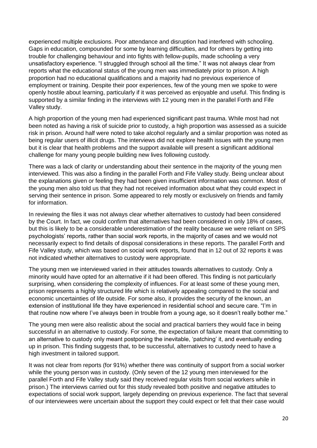experienced multiple exclusions. Poor attendance and disruption had interfered with schooling. Gaps in education, compounded for some by learning difficulties, and for others by getting into trouble for challenging behaviour and into fights with fellow-pupils, made schooling a very unsatisfactory experience. "I struggled through school all the time." It was not always clear from reports what the educational status of the young men was immediately prior to prison. A high proportion had no educational qualifications and a majority had no previous experience of employment or training. Despite their poor experiences, few of the young men we spoke to were openly hostile about learning, particularly if it was perceived as enjoyable and useful. This finding is supported by a similar finding in the interviews with 12 young men in the parallel Forth and Fife Valley study.

A high proportion of the young men had experienced significant past trauma. While most had not been noted as having a risk of suicide prior to custody, a high proportion was assessed as a suicide risk in prison. Around half were noted to take alcohol regularly and a similar proportion was noted as being regular users of illicit drugs. The interviews did not explore health issues with the young men but it is clear that health problems and the support available will present a significant additional challenge for many young people building new lives following custody.

There was a lack of clarity or understanding about their sentence in the majority of the young men interviewed. This was also a finding in the parallel Forth and Fife Valley study. Being unclear about the explanations given or feeling they had been given insufficient information was common. Most of the young men also told us that they had not received information about what they could expect in serving their sentence in prison. Some appeared to rely mostly or exclusively on friends and family for information.

In reviewing the files it was not always clear whether alternatives to custody had been considered by the Court. In fact, we could confirm that alternatives had been considered in only 18% of cases, but this is likely to be a considerable underestimation of the reality because we were reliant on SPS psychologists' reports, rather than social work reports, in the majority of cases and we would not necessarily expect to find details of disposal considerations in these reports. The parallel Forth and Fife Valley study, which was based on social work reports, found that in 12 out of 32 reports it was not indicated whether alternatives to custody were appropriate.

The young men we interviewed varied in their attitudes towards alternatives to custody. Only a minority would have opted for an alternative if it had been offered. This finding is not particularly surprising, when considering the complexity of influences. For at least some of these young men, prison represents a highly structured life which is relatively appealing compared to the social and economic uncertainties of life outside. For some also, it provides the security of the known, an extension of institutional life they have experienced in residential school and secure care. "I'm in that routine now where I've always been in trouble from a young age, so it doesn't really bother me."

The young men were also realistic about the social and practical barriers they would face in being successful in an alternative to custody. For some, the expectation of failure meant that committing to an alternative to custody only meant postponing the inevitable, 'patching' it, and eventually ending up in prison. This finding suggests that, to be successful, alternatives to custody need to have a high investment in tailored support.

It was not clear from reports (for 91%) whether there was continuity of support from a social worker while the young person was in custody. (Only seven of the 12 young men interviewed for the parallel Forth and Fife Valley study said they received regular visits from social workers while in prison.) The interviews carried out for this study revealed both positive and negative attitudes to expectations of social work support, largely depending on previous experience. The fact that several of our interviewees were uncertain about the support they could expect or felt that their case would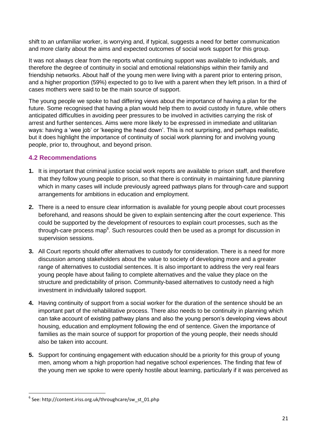shift to an unfamiliar worker, is worrying and, if typical, suggests a need for better communication and more clarity about the aims and expected outcomes of social work support for this group.

It was not always clear from the reports what continuing support was available to individuals, and therefore the degree of continuity in social and emotional relationships within their family and friendship networks. About half of the young men were living with a parent prior to entering prison, and a higher proportion (59%) expected to go to live with a parent when they left prison. In a third of cases mothers were said to be the main source of support.

The young people we spoke to had differing views about the importance of having a plan for the future. Some recognised that having a plan would help them to avoid custody in future, while others anticipated difficulties in avoiding peer pressures to be involved in activities carrying the risk of arrest and further sentences. Aims were more likely to be expressed in immediate and utilitarian ways: having a 'wee job' or 'keeping the head down'. This is not surprising, and perhaps realistic, but it does highlight the importance of continuity of social work planning for and involving young people, prior to, throughout, and beyond prison.

#### <span id="page-23-0"></span>**4.2 Recommendations**

- **1.** It is important that criminal justice social work reports are available to prison staff, and therefore that they follow young people to prison, so that there is continuity in maintaining future planning which in many cases will include previously agreed pathways plans for through-care and support arrangements for ambitions in education and employment.
- **2.** There is a need to ensure clear information is available for young people about court processes beforehand, and reasons should be given to explain sentencing after the court experience. This could be supported by the development of resources to explain court processes, such as the through-care process map<sup>6</sup>. Such resources could then be used as a prompt for discussion in supervision sessions.
- **3.** All Court reports should offer alternatives to custody for consideration. There is a need for more discussion among stakeholders about the value to society of developing more and a greater range of alternatives to custodial sentences. It is also important to address the very real fears young people have about failing to complete alternatives and the value they place on the structure and predictability of prison. Community-based alternatives to custody need a high investment in individually tailored support.
- **4.** Having continuity of support from a social worker for the duration of the sentence should be an important part of the rehabilitative process. There also needs to be continuity in planning which can take account of existing pathway plans and also the young person's developing views about housing, education and employment following the end of sentence. Given the importance of families as the main source of support for proportion of the young people, their needs should also be taken into account.
- **5.** Support for continuing engagement with education should be a priority for this group of young men, among whom a high proportion had negative school experiences. The finding that few of the young men we spoke to were openly hostile about learning, particularly if it was perceived as

**.** 

<sup>6</sup> See: http://content.iriss.org.uk/throughcare/sw\_st\_01.php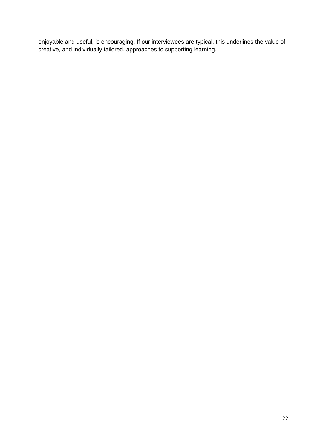enjoyable and useful, is encouraging. If our interviewees are typical, this underlines the value of creative, and individually tailored, approaches to supporting learning.